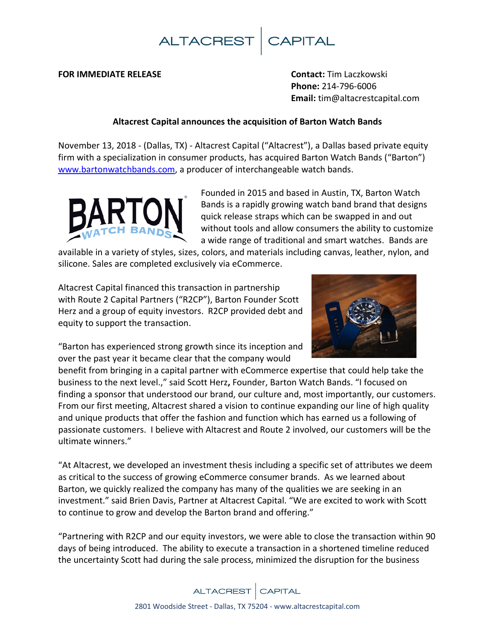

### **FOR IMMEDIATE RELEASE Contact:** Tim Laczkowski

**Phone:** 214-796-6006 **Email:** tim@altacrestcapital.com

## **Altacrest Capital announces the acquisition of Barton Watch Bands**

November 13, 2018 - (Dallas, TX) - Altacrest Capital ("Altacrest"), a Dallas based private equity firm with a specialization in consumer products, has acquired Barton Watch Bands ("Barton") [www.bartonwatchbands.com,](http://www.bartonwatchbands.com/) a producer of interchangeable watch bands.



Founded in 2015 and based in Austin, TX, Barton Watch Bands is a rapidly growing watch band brand that designs quick release straps which can be swapped in and out without tools and allow consumers the ability to customize a wide range of traditional and smart watches. Bands are

available in a variety of styles, sizes, colors, and materials including canvas, leather, nylon, and silicone. Sales are completed exclusively via eCommerce.

Altacrest Capital financed this transaction in partnership with Route 2 Capital Partners ("R2CP"), Barton Founder Scott Herz and a group of equity investors. R2CP provided debt and equity to support the transaction.



"Barton has experienced strong growth since its inception and over the past year it became clear that the company would

benefit from bringing in a capital partner with eCommerce expertise that could help take the business to the next level.," said Scott Herz**,** Founder, Barton Watch Bands. "I focused on finding a sponsor that understood our brand, our culture and, most importantly, our customers. From our first meeting, Altacrest shared a vision to continue expanding our line of high quality and unique products that offer the fashion and function which has earned us a following of passionate customers. I believe with Altacrest and Route 2 involved, our customers will be the ultimate winners."

"At Altacrest, we developed an investment thesis including a specific set of attributes we deem as critical to the success of growing eCommerce consumer brands. As we learned about Barton, we quickly realized the company has many of the qualities we are seeking in an investment." said Brien Davis, Partner at Altacrest Capital. "We are excited to work with Scott to continue to grow and develop the Barton brand and offering."

"Partnering with R2CP and our equity investors, we were able to close the transaction within 90 days of being introduced. The ability to execute a transaction in a shortened timeline reduced the uncertainty Scott had during the sale process, minimized the disruption for the business